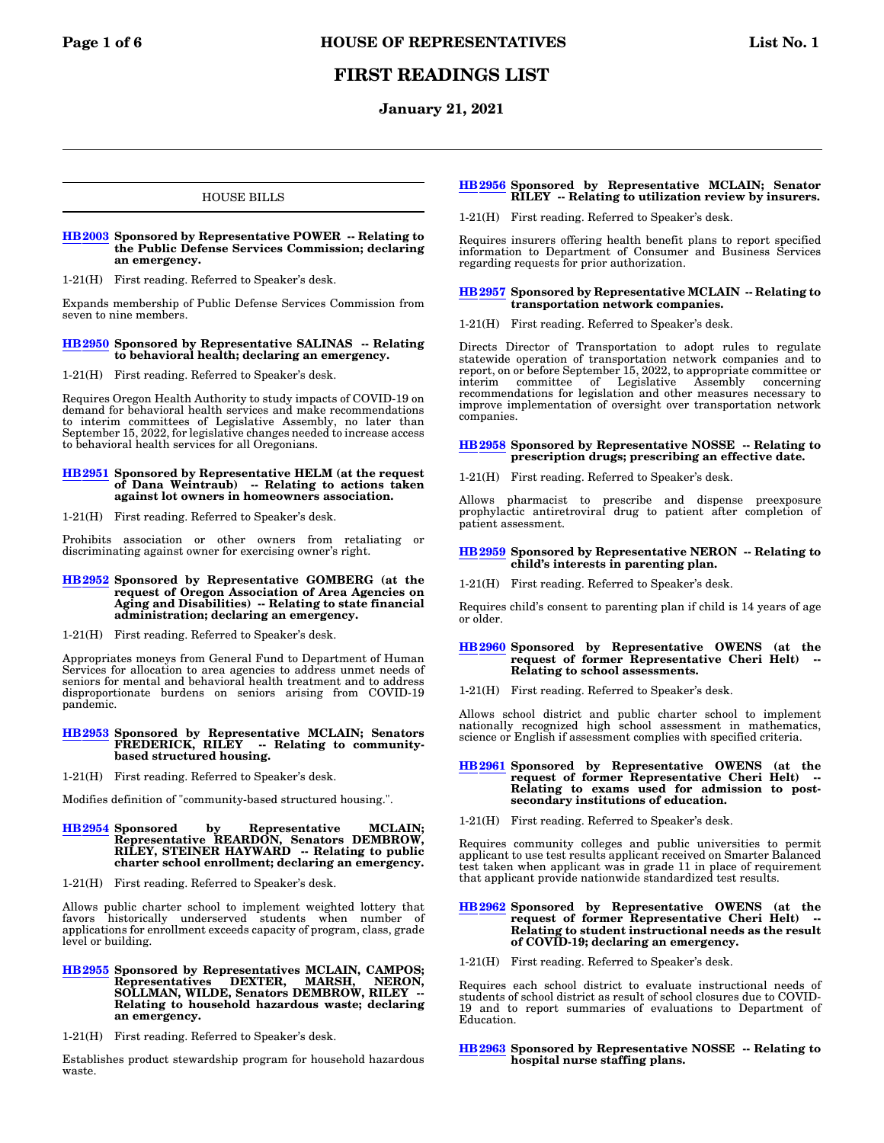# **FIRST READINGS LIST**

# **January 21, 2021**

# HOUSE BILLS

#### **[HB2003](https://olis.oregonlegislature.gov/liz/2021R1/Measures/Overview/HB2003) Sponsored by Representative POWER -- Relating to the Public Defense Services Commission; declaring an emergency.**

1-21(H) First reading. Referred to Speaker's desk.

Expands membership of Public Defense Services Commission from seven to nine members.

### **[HB2950](https://olis.oregonlegislature.gov/liz/2021R1/Measures/Overview/HB2950) Sponsored by Representative SALINAS -- Relating to behavioral health; declaring an emergency.**

1-21(H) First reading. Referred to Speaker's desk.

Requires Oregon Health Authority to study impacts of COVID-19 on demand for behavioral health services and make recommendations to interim committees of Legislative Assembly, no later than September 15, 2022, for legislative changes needed to increase access to behavioral health services for all Oregonians.

# **[HB2951](https://olis.oregonlegislature.gov/liz/2021R1/Measures/Overview/HB2951) Sponsored by Representative HELM (at the request of Dana Weintraub) -- Relating to actions taken against lot owners in homeowners association.**

1-21(H) First reading. Referred to Speaker's desk.

Prohibits association or other owners from retaliating or discriminating against owner for exercising owner's right.

# **[HB2952](https://olis.oregonlegislature.gov/liz/2021R1/Measures/Overview/HB2952) Sponsored by Representative GOMBERG (at the request of Oregon Association of Area Agencies on Aging and Disabilities) -- Relating to state financial administration; declaring an emergency.**

1-21(H) First reading. Referred to Speaker's desk.

Appropriates moneys from General Fund to Department of Human Services for allocation to area agencies to address unmet needs of seniors for mental and behavioral health treatment and to address disproportionate burdens on seniors arising from COVID-19 pandemic.

#### **[HB2953](https://olis.oregonlegislature.gov/liz/2021R1/Measures/Overview/HB2953) Sponsored by Representative MCLAIN; Senators FREDERICK, RILEY -- Relating to communitybased structured housing.**

1-21(H) First reading. Referred to Speaker's desk.

Modifies definition of "community-based structured housing.".

# **[HB2954](https://olis.oregonlegislature.gov/liz/2021R1/Measures/Overview/HB2954) Sponsored by Representative MCLAIN; Representative REARDON, Senators DEMBROW, RILEY, STEINER HAYWARD -- Relating to public charter school enrollment; declaring an emergency.**

1-21(H) First reading. Referred to Speaker's desk.

Allows public charter school to implement weighted lottery that favors historically underserved students when number of applications for enrollment exceeds capacity of program, class, grade level or building.

- **[HB2955](https://olis.oregonlegislature.gov/liz/2021R1/Measures/Overview/HB2955) Sponsored by Representatives MCLAIN, CAMPOS; Representatives DEXTER, MARSH, NERON, SOLLMAN, WILDE, Senators DEMBROW, RILEY -- Relating to household hazardous waste; declaring an emergency.**
- 1-21(H) First reading. Referred to Speaker's desk.

Establishes product stewardship program for household hazardous waste.

### **[HB2956](https://olis.oregonlegislature.gov/liz/2021R1/Measures/Overview/HB2956) Sponsored by Representative MCLAIN; Senator RILEY -- Relating to utilization review by insurers.**

1-21(H) First reading. Referred to Speaker's desk.

Requires insurers offering health benefit plans to report specified information to Department of Consumer and Business Services regarding requests for prior authorization.

#### **[HB2957](https://olis.oregonlegislature.gov/liz/2021R1/Measures/Overview/HB2957) Sponsored by Representative MCLAIN -- Relating to transportation network companies.**

1-21(H) First reading. Referred to Speaker's desk.

Directs Director of Transportation to adopt rules to regulate statewide operation of transportation network companies and to report, on or before September 15, 2022, to appropriate committee or interim committee of Legislative Assembly concerning recommendations for legislation and other measures necessary to improve implementation of oversight over transportation network companies.

### **[HB2958](https://olis.oregonlegislature.gov/liz/2021R1/Measures/Overview/HB2958) Sponsored by Representative NOSSE -- Relating to prescription drugs; prescribing an effective date.**

1-21(H) First reading. Referred to Speaker's desk.

Allows pharmacist to prescribe and dispense preexposure prophylactic antiretroviral drug to patient after completion of patient assessment.

#### **[HB2959](https://olis.oregonlegislature.gov/liz/2021R1/Measures/Overview/HB2959) Sponsored by Representative NERON -- Relating to child's interests in parenting plan.**

1-21(H) First reading. Referred to Speaker's desk.

Requires child's consent to parenting plan if child is 14 years of age or older.

#### **[HB2960](https://olis.oregonlegislature.gov/liz/2021R1/Measures/Overview/HB2960) Sponsored by Representative OWENS (at the request of former Representative Cheri Helt) -- Relating to school assessments.**

1-21(H) First reading. Referred to Speaker's desk.

Allows school district and public charter school to implement nationally recognized high school assessment in mathematics, science or English if assessment complies with specified criteria.

# **[HB2961](https://olis.oregonlegislature.gov/liz/2021R1/Measures/Overview/HB2961) Sponsored by Representative OWENS (at the request of former Representative Cheri Helt) -- Relating to exams used for admission to postsecondary institutions of education.**

1-21(H) First reading. Referred to Speaker's desk.

Requires community colleges and public universities to permit applicant to use test results applicant received on Smarter Balanced test taken when applicant was in grade 11 in place of requirement that applicant provide nationwide standardized test results.

# **[HB2962](https://olis.oregonlegislature.gov/liz/2021R1/Measures/Overview/HB2962) Sponsored by Representative OWENS (at the request of former Representative Cheri Helt) -- Relating to student instructional needs as the result of COVID-19; declaring an emergency.**

1-21(H) First reading. Referred to Speaker's desk.

Requires each school district to evaluate instructional needs of students of school district as result of school closures due to COVID-19 and to report summaries of evaluations to Department of Education.

### **[HB2963](https://olis.oregonlegislature.gov/liz/2021R1/Measures/Overview/HB2963) Sponsored by Representative NOSSE -- Relating to hospital nurse staffing plans.**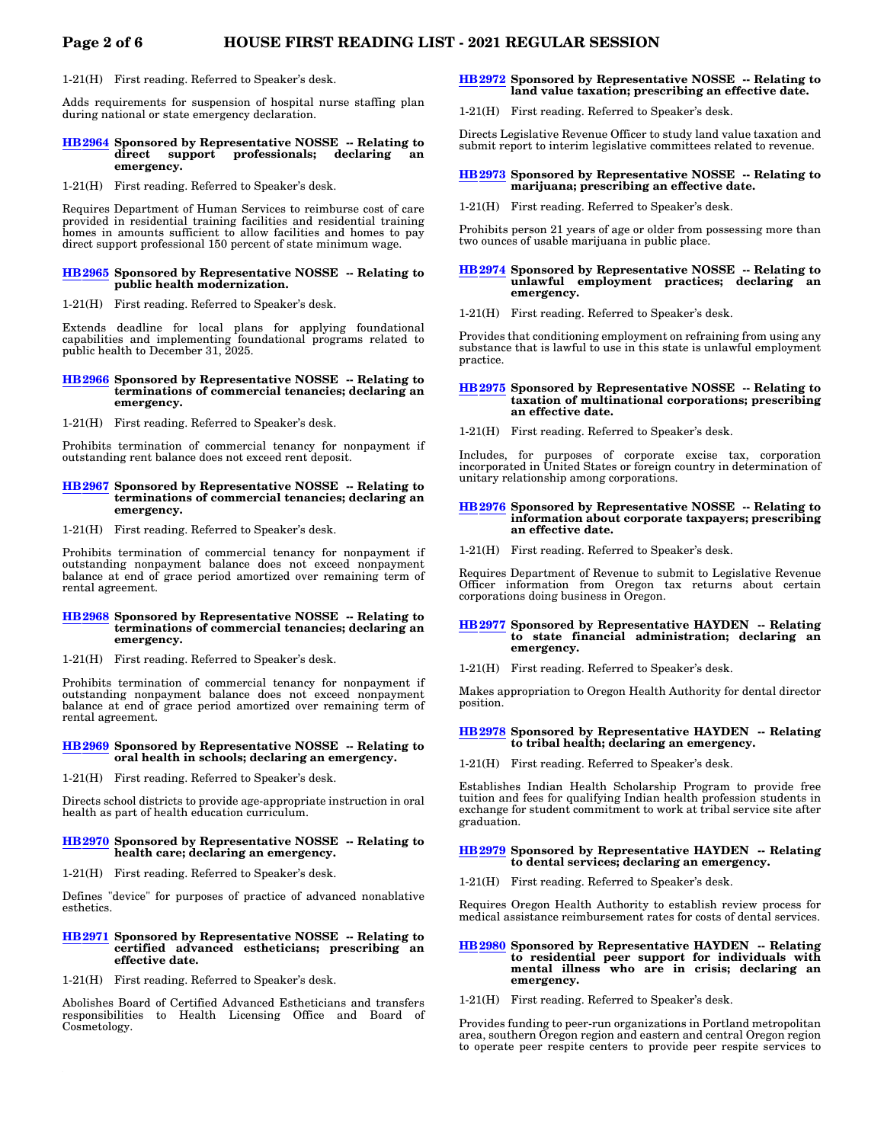1-21(H) First reading. Referred to Speaker's desk.

Adds requirements for suspension of hospital nurse staffing plan during national or state emergency declaration.

#### **[HB2964](https://olis.oregonlegislature.gov/liz/2021R1/Measures/Overview/HB2964) Sponsored by Representative NOSSE -- Relating to** direct support professionals; **emergency.**

1-21(H) First reading. Referred to Speaker's desk.

Requires Department of Human Services to reimburse cost of care provided in residential training facilities and residential training homes in amounts sufficient to allow facilities and homes to pay direct support professional 150 percent of state minimum wage.

#### **[HB2965](https://olis.oregonlegislature.gov/liz/2021R1/Measures/Overview/HB2965) Sponsored by Representative NOSSE -- Relating to public health modernization.**

1-21(H) First reading. Referred to Speaker's desk.

Extends deadline for local plans for applying foundational capabilities and implementing foundational programs related to public health to December 31, 2025.

#### **[HB2966](https://olis.oregonlegislature.gov/liz/2021R1/Measures/Overview/HB2966) Sponsored by Representative NOSSE -- Relating to terminations of commercial tenancies; declaring an emergency.**

1-21(H) First reading. Referred to Speaker's desk.

Prohibits termination of commercial tenancy for nonpayment if outstanding rent balance does not exceed rent deposit.

### **[HB2967](https://olis.oregonlegislature.gov/liz/2021R1/Measures/Overview/HB2967) Sponsored by Representative NOSSE -- Relating to terminations of commercial tenancies; declaring an emergency.**

1-21(H) First reading. Referred to Speaker's desk.

Prohibits termination of commercial tenancy for nonpayment if outstanding nonpayment balance does not exceed nonpayment balance at end of grace period amortized over remaining term of rental agreement.

#### **[HB2968](https://olis.oregonlegislature.gov/liz/2021R1/Measures/Overview/HB2968) Sponsored by Representative NOSSE -- Relating to terminations of commercial tenancies; declaring an emergency.**

1-21(H) First reading. Referred to Speaker's desk.

Prohibits termination of commercial tenancy for nonpayment if outstanding nonpayment balance does not exceed nonpayment balance at end of grace period amortized over remaining term of rental agreement.

#### **[HB2969](https://olis.oregonlegislature.gov/liz/2021R1/Measures/Overview/HB2969) Sponsored by Representative NOSSE -- Relating to oral health in schools; declaring an emergency.**

1-21(H) First reading. Referred to Speaker's desk.

Directs school districts to provide age-appropriate instruction in oral health as part of health education curriculum.

#### **[HB2970](https://olis.oregonlegislature.gov/liz/2021R1/Measures/Overview/HB2970) Sponsored by Representative NOSSE -- Relating to health care; declaring an emergency.**

1-21(H) First reading. Referred to Speaker's desk.

Defines "device" for purposes of practice of advanced nonablative esthetics.

### **[HB2971](https://olis.oregonlegislature.gov/liz/2021R1/Measures/Overview/HB2971) Sponsored by Representative NOSSE -- Relating to certified advanced estheticians; prescribing an effective date.**

1-21(H) First reading. Referred to Speaker's desk.

Abolishes Board of Certified Advanced Estheticians and transfers responsibilities to Health Licensing Office and Board of Cosmetology.

## **[HB2972](https://olis.oregonlegislature.gov/liz/2021R1/Measures/Overview/HB2972) Sponsored by Representative NOSSE -- Relating to land value taxation; prescribing an effective date.**

1-21(H) First reading. Referred to Speaker's desk.

Directs Legislative Revenue Officer to study land value taxation and submit report to interim legislative committees related to revenue.

#### **[HB2973](https://olis.oregonlegislature.gov/liz/2021R1/Measures/Overview/HB2973) Sponsored by Representative NOSSE -- Relating to marijuana; prescribing an effective date.**

1-21(H) First reading. Referred to Speaker's desk.

Prohibits person 21 years of age or older from possessing more than two ounces of usable marijuana in public place.

#### **[HB2974](https://olis.oregonlegislature.gov/liz/2021R1/Measures/Overview/HB2974) Sponsored by Representative NOSSE -- Relating to unlawful employment practices; declaring an emergency.**

1-21(H) First reading. Referred to Speaker's desk.

Provides that conditioning employment on refraining from using any substance that is lawful to use in this state is unlawful employment practice.

#### **[HB2975](https://olis.oregonlegislature.gov/liz/2021R1/Measures/Overview/HB2975) Sponsored by Representative NOSSE -- Relating to taxation of multinational corporations; prescribing an effective date.**

1-21(H) First reading. Referred to Speaker's desk.

Includes, for purposes of corporate excise tax, corporation incorporated in United States or foreign country in determination of unitary relationship among corporations.

#### **[HB2976](https://olis.oregonlegislature.gov/liz/2021R1/Measures/Overview/HB2976) Sponsored by Representative NOSSE -- Relating to information about corporate taxpayers; prescribing an effective date.**

1-21(H) First reading. Referred to Speaker's desk.

Requires Department of Revenue to submit to Legislative Revenue Officer information from Oregon tax returns about certain corporations doing business in Oregon.

### **[HB2977](https://olis.oregonlegislature.gov/liz/2021R1/Measures/Overview/HB2977) Sponsored by Representative HAYDEN -- Relating to state financial administration; declaring an emergency.**

1-21(H) First reading. Referred to Speaker's desk.

Makes appropriation to Oregon Health Authority for dental director position.

# **[HB2978](https://olis.oregonlegislature.gov/liz/2021R1/Measures/Overview/HB2978) Sponsored by Representative HAYDEN -- Relating to tribal health; declaring an emergency.**

1-21(H) First reading. Referred to Speaker's desk.

Establishes Indian Health Scholarship Program to provide free tuition and fees for qualifying Indian health profession students in exchange for student commitment to work at tribal service site after graduation.

### **[HB2979](https://olis.oregonlegislature.gov/liz/2021R1/Measures/Overview/HB2979) Sponsored by Representative HAYDEN -- Relating to dental services; declaring an emergency.**

1-21(H) First reading. Referred to Speaker's desk.

Requires Oregon Health Authority to establish review process for medical assistance reimbursement rates for costs of dental services.

#### **[HB2980](https://olis.oregonlegislature.gov/liz/2021R1/Measures/Overview/HB2980) Sponsored by Representative HAYDEN -- Relating to residential peer support for individuals with mental illness who are in crisis; declaring an emergency.**

1-21(H) First reading. Referred to Speaker's desk.

Provides funding to peer-run organizations in Portland metropolitan area, southern Oregon region and eastern and central Oregon region to operate peer respite centers to provide peer respite services to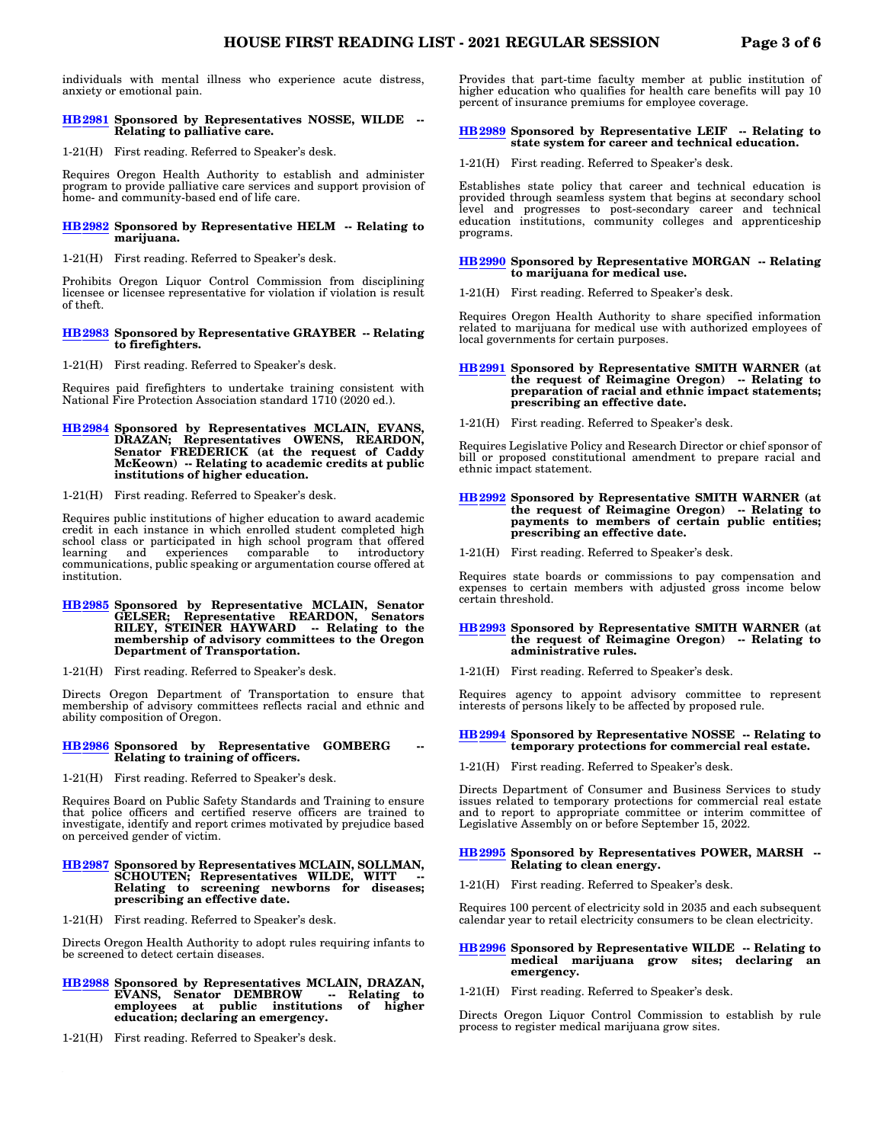individuals with mental illness who experience acute distress, anxiety or emotional pain.

### **[HB2981](https://olis.oregonlegislature.gov/liz/2021R1/Measures/Overview/HB2981) Sponsored by Representatives NOSSE, WILDE -- Relating to palliative care.**

1-21(H) First reading. Referred to Speaker's desk.

Requires Oregon Health Authority to establish and administer program to provide palliative care services and support provision of home- and community-based end of life care.

#### **[HB2982](https://olis.oregonlegislature.gov/liz/2021R1/Measures/Overview/HB2982) Sponsored by Representative HELM -- Relating to marijuana.**

1-21(H) First reading. Referred to Speaker's desk.

Prohibits Oregon Liquor Control Commission from disciplining licensee or licensee representative for violation if violation is result of theft.

#### **[HB2983](https://olis.oregonlegislature.gov/liz/2021R1/Measures/Overview/HB2983) Sponsored by Representative GRAYBER -- Relating to firefighters.**

1-21(H) First reading. Referred to Speaker's desk.

Requires paid firefighters to undertake training consistent with National Fire Protection Association standard 1710 (2020 ed.).

**[HB2984](https://olis.oregonlegislature.gov/liz/2021R1/Measures/Overview/HB2984) Sponsored by Representatives MCLAIN, EVANS, DRAZAN; Representatives OWENS, REARDON, Senator FREDERICK (at the request of Caddy McKeown) -- Relating to academic credits at public institutions of higher education.**

1-21(H) First reading. Referred to Speaker's desk.

Requires public institutions of higher education to award academic credit in each instance in which enrolled student completed high school class or participated in high school program that offered comparable communications, public speaking or argumentation course offered at institution.

# **[HB2985](https://olis.oregonlegislature.gov/liz/2021R1/Measures/Overview/HB2985) Sponsored by Representative MCLAIN, Senator GELSER; Representative REARDON, Senators RILEY, STEINER HAYWARD -- Relating to the membership of advisory committees to the Oregon Department of Transportation.**

1-21(H) First reading. Referred to Speaker's desk.

Directs Oregon Department of Transportation to ensure that membership of advisory committees reflects racial and ethnic and ability composition of Oregon.

#### **[HB2986](https://olis.oregonlegislature.gov/liz/2021R1/Measures/Overview/HB2986)** Sponsored by Representative GOMBERG **Relating to training of officers.**

1-21(H) First reading. Referred to Speaker's desk.

Requires Board on Public Safety Standards and Training to ensure that police officers and certified reserve officers are trained to investigate, identify and report crimes motivated by prejudice based on perceived gender of victim.

- **[HB2987](https://olis.oregonlegislature.gov/liz/2021R1/Measures/Overview/HB2987) Sponsored by Representatives MCLAIN, SOLLMAN, SCHOUTEN; Representatives WILDE, WITT -- Relating to screening newborns for diseases; prescribing an effective date.**
- 1-21(H) First reading. Referred to Speaker's desk.

Directs Oregon Health Authority to adopt rules requiring infants to be screened to detect certain diseases.

- **[HB2988](https://olis.oregonlegislature.gov/liz/2021R1/Measures/Overview/HB2988) Sponsored by Representatives MCLAIN, DRAZAN, EVANS, Senator DEMBROW -- Relating to employees at public institutions of higher education; declaring an emergency.**
- 1-21(H) First reading. Referred to Speaker's desk.

Provides that part-time faculty member at public institution of higher education who qualifies for health care benefits will pay 10 percent of insurance premiums for employee coverage.

### **[HB2989](https://olis.oregonlegislature.gov/liz/2021R1/Measures/Overview/HB2989) Sponsored by Representative LEIF -- Relating to state system for career and technical education.**

1-21(H) First reading. Referred to Speaker's desk.

Establishes state policy that career and technical education is provided through seamless system that begins at secondary school level and progresses to post-secondary career and technical education institutions, community colleges and apprenticeship programs.

#### **[HB2990](https://olis.oregonlegislature.gov/liz/2021R1/Measures/Overview/HB2990) Sponsored by Representative MORGAN -- Relating to marijuana for medical use.**

1-21(H) First reading. Referred to Speaker's desk.

Requires Oregon Health Authority to share specified information related to marijuana for medical use with authorized employees of local governments for certain purposes.

# **[HB2991](https://olis.oregonlegislature.gov/liz/2021R1/Measures/Overview/HB2991) Sponsored by Representative SMITH WARNER (at the request of Reimagine Oregon) -- Relating to preparation of racial and ethnic impact statements; prescribing an effective date.**

1-21(H) First reading. Referred to Speaker's desk.

Requires Legislative Policy and Research Director or chief sponsor of bill or proposed constitutional amendment to prepare racial and ethnic impact statement.

# **[HB2992](https://olis.oregonlegislature.gov/liz/2021R1/Measures/Overview/HB2992) Sponsored by Representative SMITH WARNER (at the request of Reimagine Oregon) -- Relating to payments to members of certain public entities; prescribing an effective date.**

1-21(H) First reading. Referred to Speaker's desk.

Requires state boards or commissions to pay compensation and expenses to certain members with adjusted gross income below certain threshold.

#### **[HB2993](https://olis.oregonlegislature.gov/liz/2021R1/Measures/Overview/HB2993) Sponsored by Representative SMITH WARNER (at the request of Reimagine Oregon) -- Relating to administrative rules.**

1-21(H) First reading. Referred to Speaker's desk.

Requires agency to appoint advisory committee to represent interests of persons likely to be affected by proposed rule.

#### **[HB2994](https://olis.oregonlegislature.gov/liz/2021R1/Measures/Overview/HB2994) Sponsored by Representative NOSSE -- Relating to temporary protections for commercial real estate.**

1-21(H) First reading. Referred to Speaker's desk.

Directs Department of Consumer and Business Services to study issues related to temporary protections for commercial real estate and to report to appropriate committee or interim committee of Legislative Assembly on or before September 15, 2022.

#### **[HB2995](https://olis.oregonlegislature.gov/liz/2021R1/Measures/Overview/HB2995) Sponsored by Representatives POWER, MARSH -- Relating to clean energy.**

1-21(H) First reading. Referred to Speaker's desk.

Requires 100 percent of electricity sold in 2035 and each subsequent calendar year to retail electricity consumers to be clean electricity.

- **[HB2996](https://olis.oregonlegislature.gov/liz/2021R1/Measures/Overview/HB2996) Sponsored by Representative WILDE -- Relating to medical marijuana grow sites; declaring an emergency.**
- 1-21(H) First reading. Referred to Speaker's desk.

Directs Oregon Liquor Control Commission to establish by rule process to register medical marijuana grow sites.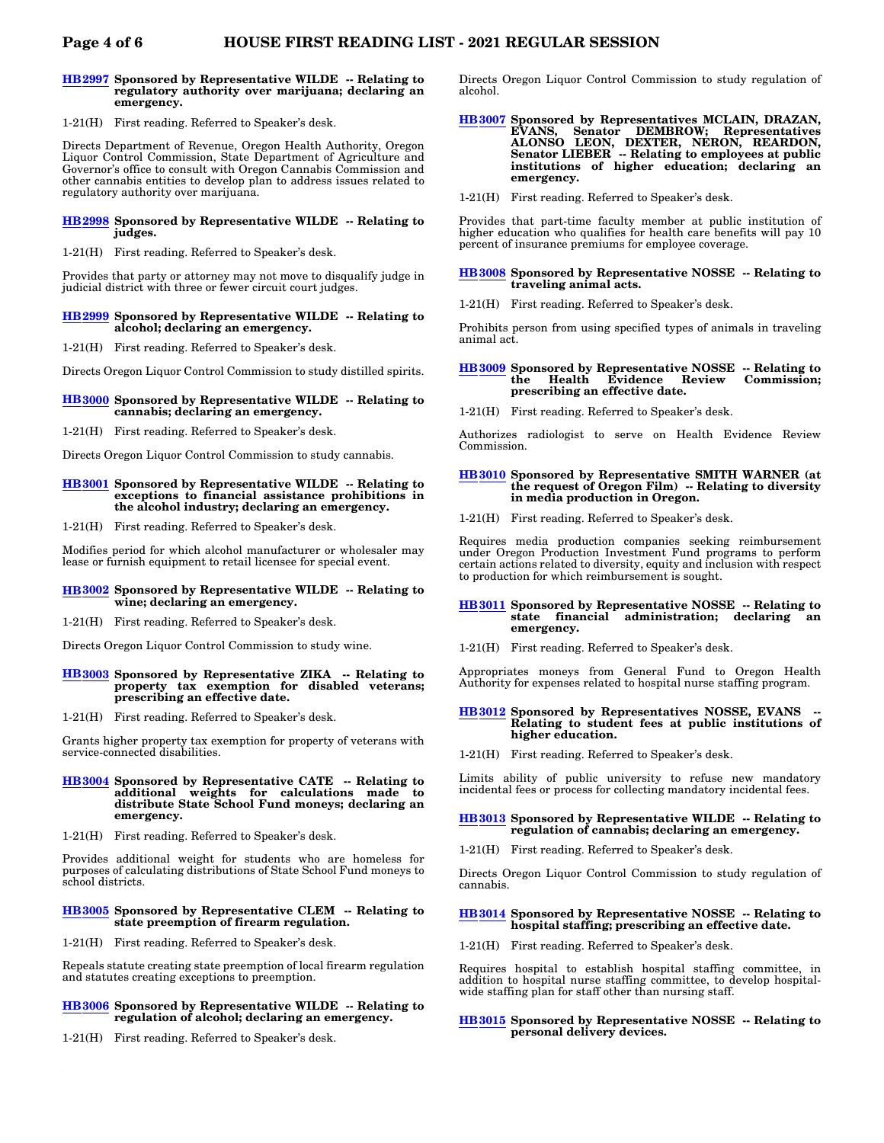#### **[HB2997](https://olis.oregonlegislature.gov/liz/2021R1/Measures/Overview/HB2997) Sponsored by Representative WILDE -- Relating to regulatory authority over marijuana; declaring an emergency.**

1-21(H) First reading. Referred to Speaker's desk.

Directs Department of Revenue, Oregon Health Authority, Oregon Liquor Control Commission, State Department of Agriculture and Governor's office to consult with Oregon Cannabis Commission and other cannabis entities to develop plan to address issues related to regulatory authority over marijuana.

#### **[HB2998](https://olis.oregonlegislature.gov/liz/2021R1/Measures/Overview/HB2998) Sponsored by Representative WILDE -- Relating to judges.**

1-21(H) First reading. Referred to Speaker's desk.

Provides that party or attorney may not move to disqualify judge in judicial district with three or fewer circuit court judges.

#### **[HB2999](https://olis.oregonlegislature.gov/liz/2021R1/Measures/Overview/HB2999) Sponsored by Representative WILDE -- Relating to alcohol; declaring an emergency.**

1-21(H) First reading. Referred to Speaker's desk.

Directs Oregon Liquor Control Commission to study distilled spirits.

### **[HB3000](https://olis.oregonlegislature.gov/liz/2021R1/Measures/Overview/HB3000) Sponsored by Representative WILDE -- Relating to cannabis; declaring an emergency.**

1-21(H) First reading. Referred to Speaker's desk.

Directs Oregon Liquor Control Commission to study cannabis.

#### **[HB3001](https://olis.oregonlegislature.gov/liz/2021R1/Measures/Overview/HB3001) Sponsored by Representative WILDE -- Relating to exceptions to financial assistance prohibitions in the alcohol industry; declaring an emergency.**

1-21(H) First reading. Referred to Speaker's desk.

Modifies period for which alcohol manufacturer or wholesaler may lease or furnish equipment to retail licensee for special event.

#### **[HB3002](https://olis.oregonlegislature.gov/liz/2021R1/Measures/Overview/HB3002) Sponsored by Representative WILDE -- Relating to wine; declaring an emergency.**

1-21(H) First reading. Referred to Speaker's desk.

Directs Oregon Liquor Control Commission to study wine.

#### **[HB3003](https://olis.oregonlegislature.gov/liz/2021R1/Measures/Overview/HB3003) Sponsored by Representative ZIKA -- Relating to property tax exemption for disabled veterans; prescribing an effective date.**

1-21(H) First reading. Referred to Speaker's desk.

Grants higher property tax exemption for property of veterans with service-connected disabilities.

#### **[HB3004](https://olis.oregonlegislature.gov/liz/2021R1/Measures/Overview/HB3004) Sponsored by Representative CATE -- Relating to additional weights for calculations made to distribute State School Fund moneys; declaring an emergency.**

1-21(H) First reading. Referred to Speaker's desk.

Provides additional weight for students who are homeless for purposes of calculating distributions of State School Fund moneys to school districts.

#### **[HB3005](https://olis.oregonlegislature.gov/liz/2021R1/Measures/Overview/HB3005) Sponsored by Representative CLEM -- Relating to state preemption of firearm regulation.**

1-21(H) First reading. Referred to Speaker's desk.

Repeals statute creating state preemption of local firearm regulation and statutes creating exceptions to preemption.

### **[HB3006](https://olis.oregonlegislature.gov/liz/2021R1/Measures/Overview/HB3006) Sponsored by Representative WILDE -- Relating to regulation of alcohol; declaring an emergency.**

1-21(H) First reading. Referred to Speaker's desk.

Directs Oregon Liquor Control Commission to study regulation of alcohol.

- **[HB3007](https://olis.oregonlegislature.gov/liz/2021R1/Measures/Overview/HB3007) Sponsored by Representatives MCLAIN, DRAZAN, EVANS, Senator DEMBROW; Representatives ALONSO LEON, DEXTER, NERON, REARDON, Senator LIEBER -- Relating to employees at public institutions of higher education; declaring an emergency.**
- 1-21(H) First reading. Referred to Speaker's desk.

Provides that part-time faculty member at public institution of higher education who qualifies for health care benefits will pay 10 percent of insurance premiums for employee coverage.

#### **[HB3008](https://olis.oregonlegislature.gov/liz/2021R1/Measures/Overview/HB3008) Sponsored by Representative NOSSE -- Relating to traveling animal acts.**

1-21(H) First reading. Referred to Speaker's desk.

Prohibits person from using specified types of animals in traveling animal act.

# **[HB3009](https://olis.oregonlegislature.gov/liz/2021R1/Measures/Overview/HB3009) Sponsored by Representative NOSSE -- Relating to the Health Evidence Review Commission; prescribing an effective date.**

1-21(H) First reading. Referred to Speaker's desk.

Authorizes radiologist to serve on Health Evidence Review Commission.

#### **[HB3010](https://olis.oregonlegislature.gov/liz/2021R1/Measures/Overview/HB3010) Sponsored by Representative SMITH WARNER (at the request of Oregon Film) -- Relating to diversity in media production in Oregon.**

1-21(H) First reading. Referred to Speaker's desk.

Requires media production companies seeking reimbursement under Oregon Production Investment Fund programs to perform certain actions related to diversity, equity and inclusion with respect to production for which reimbursement is sought.

#### **[HB3011](https://olis.oregonlegislature.gov/liz/2021R1/Measures/Overview/HB3011) Sponsored by Representative NOSSE -- Relating to** administration; declaring **emergency.**

1-21(H) First reading. Referred to Speaker's desk.

Appropriates moneys from General Fund to Oregon Health Authority for expenses related to hospital nurse staffing program.

#### **[HB3012](https://olis.oregonlegislature.gov/liz/2021R1/Measures/Overview/HB3012)** Sponsored by Representatives NOSSE, EVANS **Relating to student fees at public institutions of higher education.**

1-21(H) First reading. Referred to Speaker's desk.

Limits ability of public university to refuse new mandatory incidental fees or process for collecting mandatory incidental fees.

#### **[HB3013](https://olis.oregonlegislature.gov/liz/2021R1/Measures/Overview/HB3013) Sponsored by Representative WILDE -- Relating to regulation of cannabis; declaring an emergency.**

1-21(H) First reading. Referred to Speaker's desk.

Directs Oregon Liquor Control Commission to study regulation of cannabis.

#### **[HB3014](https://olis.oregonlegislature.gov/liz/2021R1/Measures/Overview/HB3014) Sponsored by Representative NOSSE -- Relating to hospital staffing; prescribing an effective date.**

1-21(H) First reading. Referred to Speaker's desk.

Requires hospital to establish hospital staffing committee, in addition to hospital nurse staffing committee, to develop hospitalwide staffing plan for staff other than nursing staff.

#### **[HB3015](https://olis.oregonlegislature.gov/liz/2021R1/Measures/Overview/HB3015) Sponsored by Representative NOSSE -- Relating to personal delivery devices.**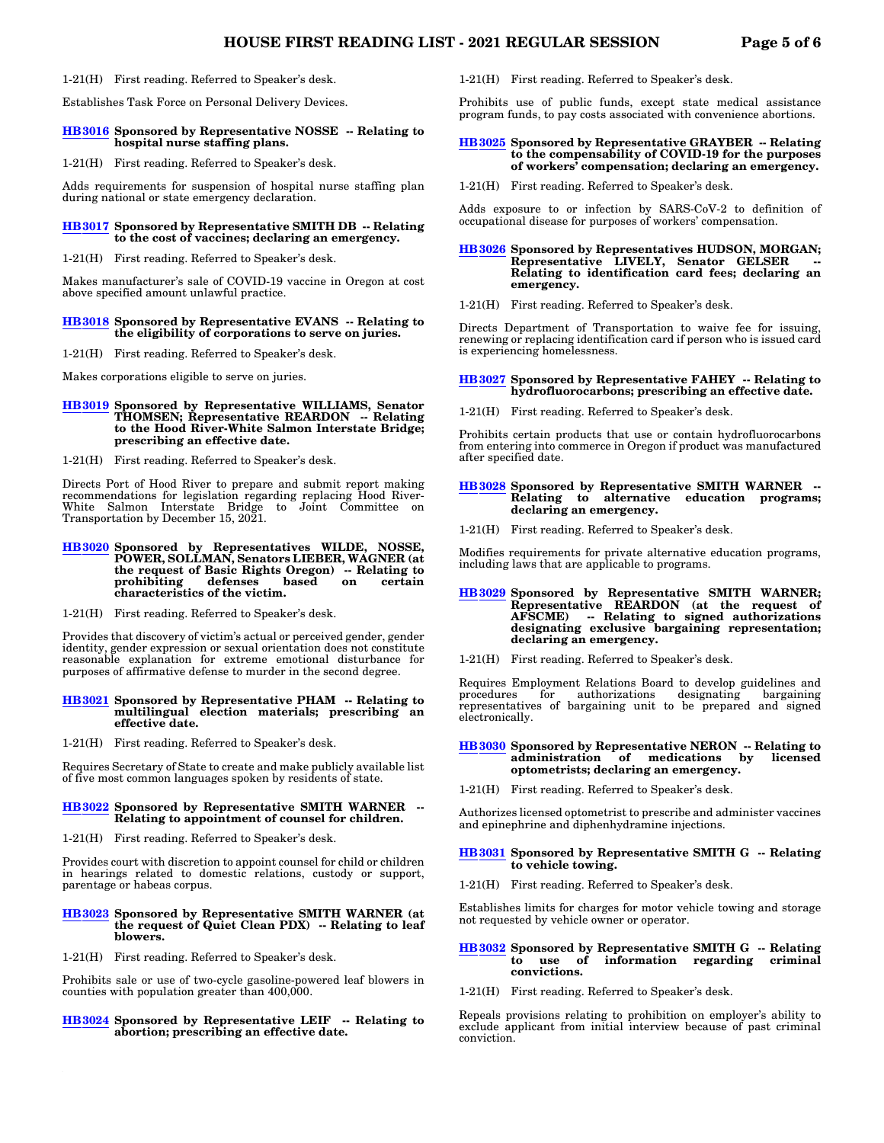### 1-21(H) First reading. Referred to Speaker's desk.

Establishes Task Force on Personal Delivery Devices.

#### **[HB3016](https://olis.oregonlegislature.gov/liz/2021R1/Measures/Overview/HB3016) Sponsored by Representative NOSSE -- Relating to hospital nurse staffing plans.**

1-21(H) First reading. Referred to Speaker's desk.

Adds requirements for suspension of hospital nurse staffing plan during national or state emergency declaration.

#### **[HB3017](https://olis.oregonlegislature.gov/liz/2021R1/Measures/Overview/HB3017) Sponsored by Representative SMITH DB -- Relating to the cost of vaccines; declaring an emergency.**

1-21(H) First reading. Referred to Speaker's desk.

Makes manufacturer's sale of COVID-19 vaccine in Oregon at cost above specified amount unlawful practice.

# **[HB3018](https://olis.oregonlegislature.gov/liz/2021R1/Measures/Overview/HB3018) Sponsored by Representative EVANS -- Relating to the eligibility of corporations to serve on juries.**

1-21(H) First reading. Referred to Speaker's desk.

Makes corporations eligible to serve on juries.

# **[HB3019](https://olis.oregonlegislature.gov/liz/2021R1/Measures/Overview/HB3019) Sponsored by Representative WILLIAMS, Senator THOMSEN; Representative REARDON -- Relating to the Hood River-White Salmon Interstate Bridge; prescribing an effective date.**

1-21(H) First reading. Referred to Speaker's desk.

Directs Port of Hood River to prepare and submit report making recommendations for legislation regarding replacing Hood River-White Salmon Interstate Bridge to Joint Committee on Transportation by December 15, 2021.

- **[HB3020](https://olis.oregonlegislature.gov/liz/2021R1/Measures/Overview/HB3020) Sponsored by Representatives WILDE, NOSSE, POWER, SOLLMAN, Senators LIEBER, WAGNER (at the request of Basic Rights Oregon) -- Relating to** prohibiting **characteristics of the victim.**
- 1-21(H) First reading. Referred to Speaker's desk.

Provides that discovery of victim's actual or perceived gender, gender identity, gender expression or sexual orientation does not constitute reasonable explanation for extreme emotional disturbance for purposes of affirmative defense to murder in the second degree.

#### **[HB3021](https://olis.oregonlegislature.gov/liz/2021R1/Measures/Overview/HB3021) Sponsored by Representative PHAM -- Relating to multilingual election materials; prescribing an effective date.**

1-21(H) First reading. Referred to Speaker's desk.

Requires Secretary of State to create and make publicly available list of five most common languages spoken by residents of state.

#### **[HB3022](https://olis.oregonlegislature.gov/liz/2021R1/Measures/Overview/HB3022) Sponsored by Representative SMITH WARNER -- Relating to appointment of counsel for children.**

1-21(H) First reading. Referred to Speaker's desk.

Provides court with discretion to appoint counsel for child or children in hearings related to domestic relations, custody or support, parentage or habeas corpus.

#### **[HB3023](https://olis.oregonlegislature.gov/liz/2021R1/Measures/Overview/HB3023) Sponsored by Representative SMITH WARNER (at the request of Quiet Clean PDX) -- Relating to leaf blowers.**

1-21(H) First reading. Referred to Speaker's desk.

Prohibits sale or use of two-cycle gasoline-powered leaf blowers in counties with population greater than 400,000.

#### **[HB3024](https://olis.oregonlegislature.gov/liz/2021R1/Measures/Overview/HB3024) Sponsored by Representative LEIF -- Relating to abortion; prescribing an effective date.**

1-21(H) First reading. Referred to Speaker's desk.

Prohibits use of public funds, except state medical assistance program funds, to pay costs associated with convenience abortions.

# **[HB3025](https://olis.oregonlegislature.gov/liz/2021R1/Measures/Overview/HB3025) Sponsored by Representative GRAYBER -- Relating to the compensability of COVID-19 for the purposes of workers' compensation; declaring an emergency.**

1-21(H) First reading. Referred to Speaker's desk.

Adds exposure to or infection by SARS-CoV-2 to definition of occupational disease for purposes of workers' compensation.

#### **[HB3026](https://olis.oregonlegislature.gov/liz/2021R1/Measures/Overview/HB3026) Sponsored by Representatives HUDSON, MORGAN;** Representative LIVELY, Senator GELSER **Relating to identification card fees; declaring an emergency.**

1-21(H) First reading. Referred to Speaker's desk.

Directs Department of Transportation to waive fee for issuing, renewing or replacing identification card if person who is issued card is experiencing homelessness.

#### **[HB3027](https://olis.oregonlegislature.gov/liz/2021R1/Measures/Overview/HB3027) Sponsored by Representative FAHEY -- Relating to hydrofluorocarbons; prescribing an effective date.**

1-21(H) First reading. Referred to Speaker's desk.

Prohibits certain products that use or contain hydrofluorocarbons from entering into commerce in Oregon if product was manufactured after specified date.

#### **[HB3028](https://olis.oregonlegislature.gov/liz/2021R1/Measures/Overview/HB3028) Sponsored by Representative SMITH WARNER -- Relating to alternative education programs; declaring an emergency.**

1-21(H) First reading. Referred to Speaker's desk.

Modifies requirements for private alternative education programs, including laws that are applicable to programs.

# **[HB3029](https://olis.oregonlegislature.gov/liz/2021R1/Measures/Overview/HB3029) Sponsored by Representative SMITH WARNER; Representative REARDON (at the request of AFSCME) -- Relating to signed authorizations designating exclusive bargaining representation; declaring an emergency.**

1-21(H) First reading. Referred to Speaker's desk.

Requires Employment Relations Board to develop guidelines and procedures for authorizations designating bargaining procedures for authorizations designating bargaining representatives of bargaining unit to be prepared and signed electronically.

#### **[HB3030](https://olis.oregonlegislature.gov/liz/2021R1/Measures/Overview/HB3030) Sponsored by Representative NERON -- Relating to** of medications by **optometrists; declaring an emergency.**

1-21(H) First reading. Referred to Speaker's desk.

Authorizes licensed optometrist to prescribe and administer vaccines and epinephrine and diphenhydramine injections.

#### **[HB3031](https://olis.oregonlegislature.gov/liz/2021R1/Measures/Overview/HB3031) Sponsored by Representative SMITH G -- Relating to vehicle towing.**

1-21(H) First reading. Referred to Speaker's desk.

Establishes limits for charges for motor vehicle towing and storage not requested by vehicle owner or operator.

#### **[HB3032](https://olis.oregonlegislature.gov/liz/2021R1/Measures/Overview/HB3032) Sponsored by Representative SMITH G -- Relating to use of information regarding criminal convictions.**

1-21(H) First reading. Referred to Speaker's desk.

Repeals provisions relating to prohibition on employer's ability to exclude applicant from initial interview because of past criminal conviction.